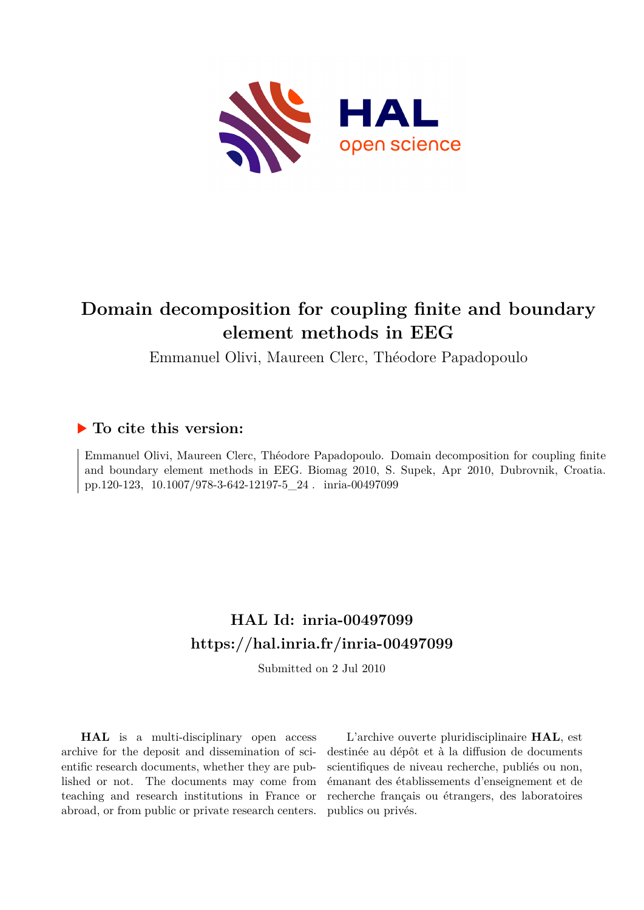

# **Domain decomposition for coupling finite and boundary element methods in EEG**

Emmanuel Olivi, Maureen Clerc, Théodore Papadopoulo

### **To cite this version:**

Emmanuel Olivi, Maureen Clerc, Théodore Papadopoulo. Domain decomposition for coupling finite and boundary element methods in EEG. Biomag 2010, S. Supek, Apr 2010, Dubrovnik, Croatia. pp.120-123, 10.1007/978-3-642-12197-5\_24. inria-00497099

## **HAL Id: inria-00497099 <https://hal.inria.fr/inria-00497099>**

Submitted on 2 Jul 2010

**HAL** is a multi-disciplinary open access archive for the deposit and dissemination of scientific research documents, whether they are published or not. The documents may come from teaching and research institutions in France or abroad, or from public or private research centers.

L'archive ouverte pluridisciplinaire **HAL**, est destinée au dépôt et à la diffusion de documents scientifiques de niveau recherche, publiés ou non, émanant des établissements d'enseignement et de recherche français ou étrangers, des laboratoires publics ou privés.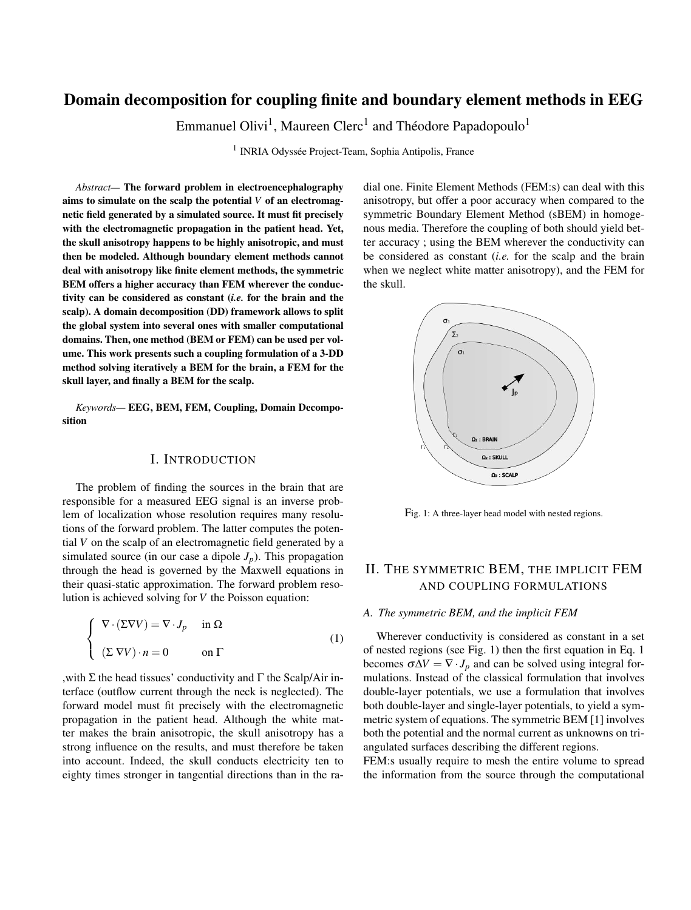### Domain decomposition for coupling finite and boundary element methods in EEG

Emmanuel Olivi<sup>1</sup>, Maureen Clerc<sup>1</sup> and Théodore Papadopoulo<sup>1</sup>

<sup>1</sup> INRIA Odyssée Project-Team, Sophia Antipolis, France

*Abstract—* The forward problem in electroencephalography aims to simulate on the scalp the potential *V* of an electromagnetic field generated by a simulated source. It must fit precisely with the electromagnetic propagation in the patient head. Yet, the skull anisotropy happens to be highly anisotropic, and must then be modeled. Although boundary element methods cannot deal with anisotropy like finite element methods, the symmetric BEM offers a higher accuracy than FEM wherever the conductivity can be considered as constant (*i.e.* for the brain and the scalp). A domain decomposition (DD) framework allows to split the global system into several ones with smaller computational domains. Then, one method (BEM or FEM) can be used per volume. This work presents such a coupling formulation of a 3-DD method solving iteratively a BEM for the brain, a FEM for the skull layer, and finally a BEM for the scalp.

*Keywords—* EEG, BEM, FEM, Coupling, Domain Decomposition

#### I. INTRODUCTION

The problem of finding the sources in the brain that are responsible for a measured EEG signal is an inverse problem of localization whose resolution requires many resolutions of the forward problem. The latter computes the potential *V* on the scalp of an electromagnetic field generated by a simulated source (in our case a dipole  $J_p$ ). This propagation through the head is governed by the Maxwell equations in their quasi-static approximation. The forward problem resolution is achieved solving for *V* the Poisson equation:

$$
\begin{cases} \nabla \cdot (\Sigma \nabla V) = \nabla \cdot J_p & \text{in } \Omega \\ \nabla \cdot (\Sigma \nabla V) \cdot n = 0 & \text{on } \Gamma \n\end{cases}
$$
\n(1)

, with Σ the head tissues' conductivity and  $Γ$  the Scalp/Air interface (outflow current through the neck is neglected). The forward model must fit precisely with the electromagnetic propagation in the patient head. Although the white matter makes the brain anisotropic, the skull anisotropy has a strong influence on the results, and must therefore be taken into account. Indeed, the skull conducts electricity ten to eighty times stronger in tangential directions than in the ra-

dial one. Finite Element Methods (FEM:s) can deal with this anisotropy, but offer a poor accuracy when compared to the symmetric Boundary Element Method (sBEM) in homogenous media. Therefore the coupling of both should yield better accuracy ; using the BEM wherever the conductivity can be considered as constant (*i.e.* for the scalp and the brain when we neglect white matter anisotropy), and the FEM for the skull.



Fig. 1: A three-layer head model with nested regions.

#### II. THE SYMMETRIC BEM, THE IMPLICIT FEM AND COUPLING FORMULATIONS

#### *A. The symmetric BEM, and the implicit FEM*

Wherever conductivity is considered as constant in a set of nested regions (see Fig. 1) then the first equation in Eq. 1 becomes  $σΔV = ∇ · J<sub>p</sub>$  and can be solved using integral formulations. Instead of the classical formulation that involves double-layer potentials, we use a formulation that involves both double-layer and single-layer potentials, to yield a symmetric system of equations. The symmetric BEM [1] involves both the potential and the normal current as unknowns on triangulated surfaces describing the different regions.

FEM:s usually require to mesh the entire volume to spread the information from the source through the computational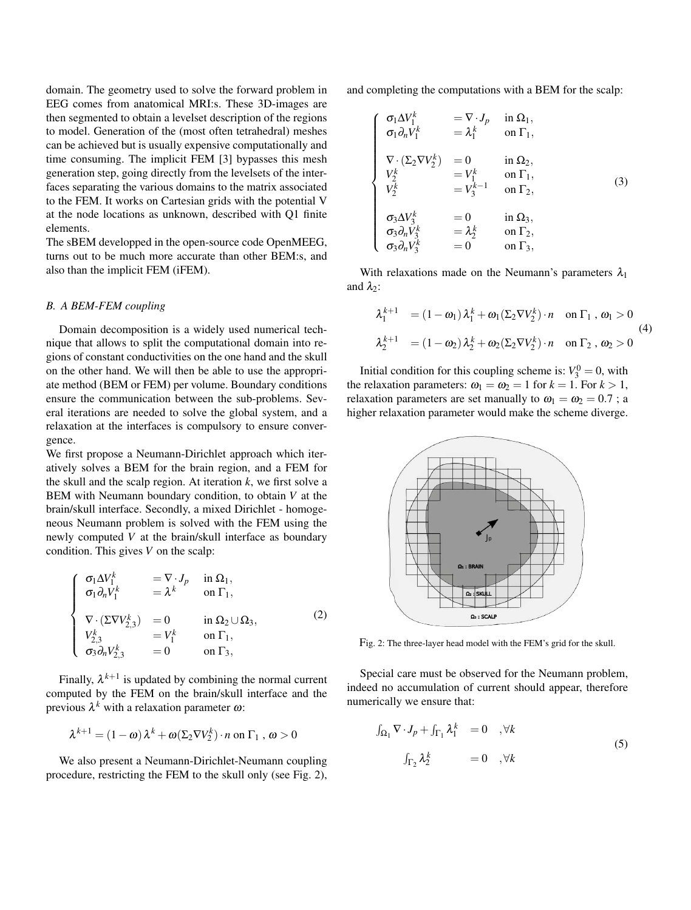domain. The geometry used to solve the forward problem in EEG comes from anatomical MRI:s. These 3D-images are then segmented to obtain a levelset description of the regions to model. Generation of the (most often tetrahedral) meshes can be achieved but is usually expensive computationally and time consuming. The implicit FEM [3] bypasses this mesh generation step, going directly from the levelsets of the interfaces separating the various domains to the matrix associated to the FEM. It works on Cartesian grids with the potential V at the node locations as unknown, described with Q1 finite elements.

The sBEM developped in the open-source code OpenMEEG, turns out to be much more accurate than other BEM:s, and also than the implicit FEM (iFEM).

#### *B. A BEM-FEM coupling*

Domain decomposition is a widely used numerical technique that allows to split the computational domain into regions of constant conductivities on the one hand and the skull on the other hand. We will then be able to use the appropriate method (BEM or FEM) per volume. Boundary conditions ensure the communication between the sub-problems. Several iterations are needed to solve the global system, and a relaxation at the interfaces is compulsory to ensure convergence.

We first propose a Neumann-Dirichlet approach which iteratively solves a BEM for the brain region, and a FEM for the skull and the scalp region. At iteration *k*, we first solve a BEM with Neumann boundary condition, to obtain *V* at the brain/skull interface. Secondly, a mixed Dirichlet - homogeneous Neumann problem is solved with the FEM using the newly computed *V* at the brain/skull interface as boundary condition. This gives *V* on the scalp:

$$
\begin{cases}\n\sigma_1 \Delta V_1^k = \nabla \cdot J_p & \text{in } \Omega_1, \\
\sigma_1 \partial_n V_1^k = \lambda^k & \text{on } \Gamma_1, \\
\nabla \cdot (\Sigma \nabla V_{2,3}^k) = 0 & \text{in } \Omega_2 \cup \Omega_3, \\
V_{2,3}^k = V_1^k & \text{on } \Gamma_1, \\
\sigma_3 \partial_n V_{2,3}^k = 0 & \text{on } \Gamma_3,\n\end{cases}
$$
\n(2)

Finally,  $\lambda^{k+1}$  is updated by combining the normal current computed by the FEM on the brain/skull interface and the previous  $\lambda^k$  with a relaxation parameter  $\omega$ :

$$
\lambda^{k+1} = (1 - \omega) \lambda^k + \omega (\Sigma_2 \nabla V_2^k) \cdot n \text{ on } \Gamma_1 , \omega > 0
$$

We also present a Neumann-Dirichlet-Neumann coupling procedure, restricting the FEM to the skull only (see Fig. 2), and completing the computations with a BEM for the scalp:

$$
\begin{cases}\n\sigma_1 \Delta V_1^k = \nabla \cdot J_p & \text{in } \Omega_1, \\
\sigma_1 \partial_n V_1^k = \lambda_1^k & \text{on } \Gamma_1, \\
\nabla \cdot (\Sigma_2 \nabla V_2^k) = 0 & \text{in } \Omega_2, \\
V_2^k = V_1^k & \text{on } \Gamma_1, \\
V_2^k = V_3^{k-1} & \text{on } \Gamma_2, \\
\sigma_3 \Delta V_3^k = 0 & \text{in } \Omega_3, \\
\sigma_3 \partial_n V_3^k = \lambda_2^k & \text{on } \Gamma_2, \\
\sigma_3 \partial_n V_3^k = 0 & \text{on } \Gamma_3,\n\end{cases}
$$
\n(3)

With relaxations made on the Neumann's parameters  $\lambda_1$ and  $\lambda_2$ :

$$
\lambda_1^{k+1} = (1 - \omega_1) \lambda_1^k + \omega_1 (\Sigma_2 \nabla V_2^k) \cdot n \quad \text{on } \Gamma_1, \omega_1 > 0
$$
  

$$
\lambda_2^{k+1} = (1 - \omega_2) \lambda_2^k + \omega_2 (\Sigma_2 \nabla V_2^k) \cdot n \quad \text{on } \Gamma_2, \omega_2 > 0
$$
 (4)

Initial condition for this coupling scheme is:  $V_3^0 = 0$ , with the relaxation parameters:  $\omega_1 = \omega_2 = 1$  for  $k = 1$ . For  $k > 1$ , relaxation parameters are set manually to  $\omega_1 = \omega_2 = 0.7$ ; a higher relaxation parameter would make the scheme diverge.



Fig. 2: The three-layer head model with the FEM's grid for the skull.

Special care must be observed for the Neumann problem, indeed no accumulation of current should appear, therefore numerically we ensure that:

$$
\int_{\Omega_1} \nabla \cdot J_p + \int_{\Gamma_1} \lambda_1^k = 0 \quad , \forall k
$$
\n
$$
\int_{\Gamma_2} \lambda_2^k = 0 \quad , \forall k
$$
\n(5)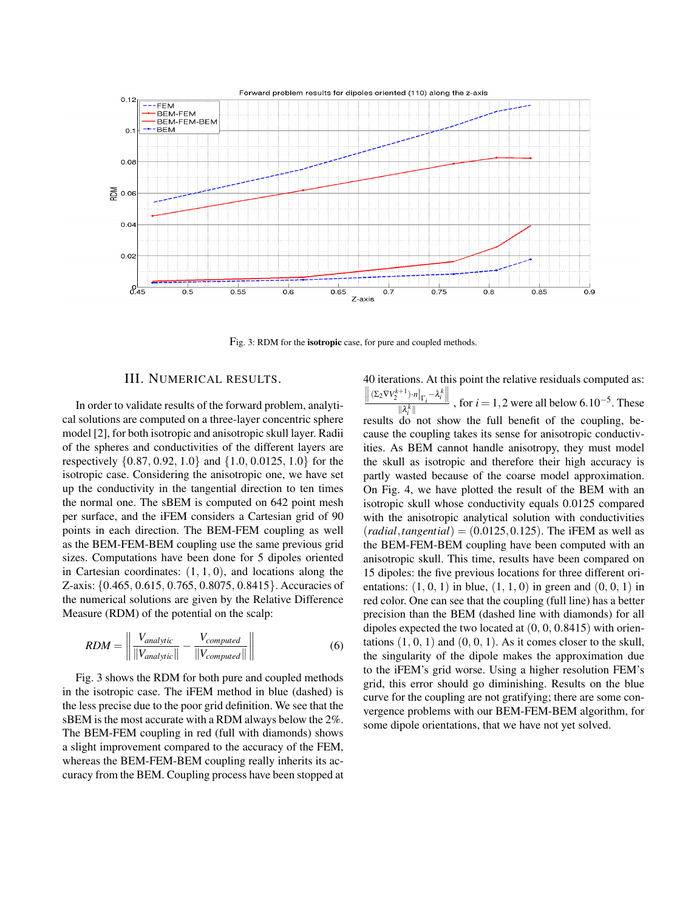

Fig. 3: RDM for the isotropic case, for pure and coupled methods.

#### III. NUMERICAL RESULTS.

In order to validate results of the forward problem, analytical solutions are computed on a three-layer concentric sphere model [2], for both isotropic and anisotropic skull layer. Radii of the spheres and conductivities of the different layers are respectively {0.87, 0.92, 1.0} and {1.0, 0.0125, 1.0} for the isotropic case. Considering the anisotropic one, we have set up the conductivity in the tangential direction to ten times the normal one. The sBEM is computed on 642 point mesh per surface, and the iFEM considers a Cartesian grid of 90 points in each direction. The BEM-FEM coupling as well as the BEM-FEM-BEM coupling use the same previous grid sizes. Computations have been done for 5 dipoles oriented in Cartesian coordinates:  $(1, 1, 0)$ , and locations along the Z-axis: {0.465, 0.615, 0.765, 0.8075, 0.8415}. Accuracies of the numerical solutions are given by the Relative Difference Measure (RDM) of the potential on the scalp:

$$
RDM = \left\| \frac{V_{analytic}}{\|V_{analytic}\|} - \frac{V_{computed}}{\|V_{computed}\|} \right\| \tag{6}
$$

Fig. 3 shows the RDM for both pure and coupled methods in the isotropic case. The iFEM method in blue (dashed) is the less precise due to the poor grid definition. We see that the sBEM is the most accurate with a RDM always below the 2%. The BEM-FEM coupling in red (full with diamonds) shows a slight improvement compared to the accuracy of the FEM, whereas the BEM-FEM-BEM coupling really inherits its accuracy from the BEM. Coupling process have been stopped at 40 iterations. At this point the relative residuals computed as:  $\frac{\|( \Sigma_2 \nabla V_2^{k+1}) \cdot n |_{\Gamma_i} - \lambda_i^k \|}{\|\lambda_i^k\|}$ , for *i* = 1,2 were all below 6.10<sup>-5</sup>. These results do not show the full benefit of the coupling, because the coupling takes its sense for anisotropic conductivities. As BEM cannot handle anisotropy, they must model the skull as isotropic and therefore their high accuracy is partly wasted because of the coarse model approximation. On Fig. 4, we have plotted the result of the BEM with an isotropic skull whose conductivity equals 0.0125 compared with the anisotropic analytical solution with conductivities  $(radial, tangential) = (0.0125, 0.125)$ . The iFEM as well as the BEM-FEM-BEM coupling have been computed with an anisotropic skull. This time, results have been compared on 15 dipoles: the five previous locations for three different orientations:  $(1, 0, 1)$  in blue,  $(1, 1, 0)$  in green and  $(0, 0, 1)$  in red color. One can see that the coupling (full line) has a better precision than the BEM (dashed line with diamonds) for all dipoles expected the two located at  $(0, 0, 0.8415)$  with orientations  $(1, 0, 1)$  and  $(0, 0, 1)$ . As it comes closer to the skull, the singularity of the dipole makes the approximation due to the iFEM's grid worse. Using a higher resolution FEM's grid, this error should go diminishing. Results on the blue curve for the coupling are not gratifying; there are some convergence problems with our BEM-FEM-BEM algorithm, for some dipole orientations, that we have not yet solved.